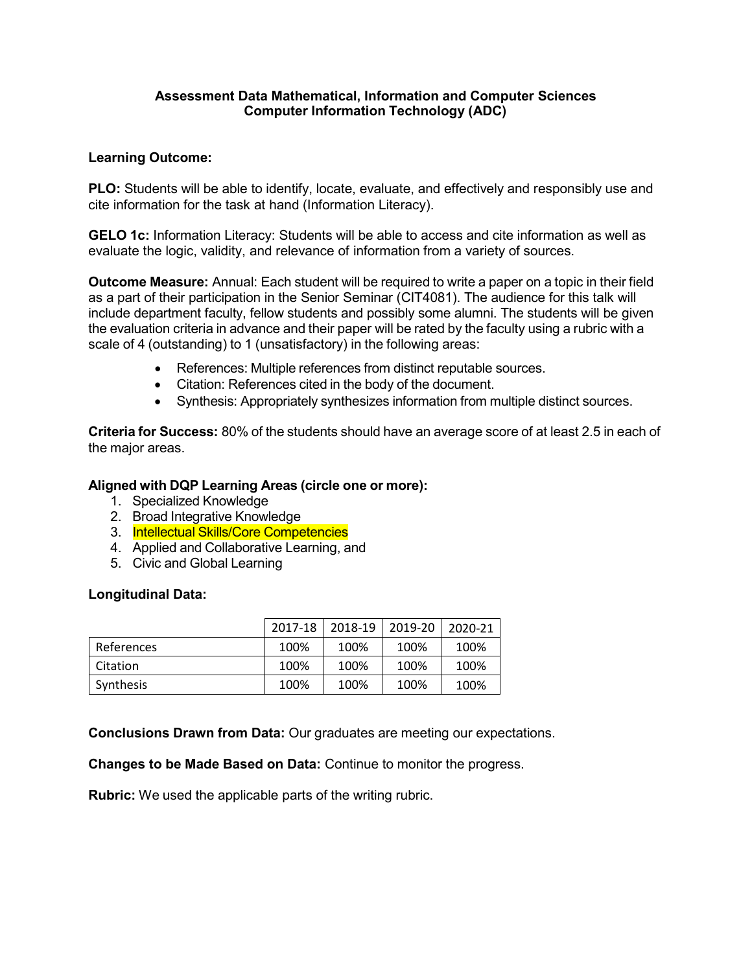# **Assessment Data Mathematical, Information and Computer Sciences Computer Information Technology (ADC)**

## **Learning Outcome:**

**PLO:** Students will be able to identify, locate, evaluate, and effectively and responsibly use and cite information for the task at hand (Information Literacy).

**GELO 1c:** Information Literacy: Students will be able to access and cite information as well as evaluate the logic, validity, and relevance of information from a variety of sources.

**Outcome Measure:** Annual: Each student will be required to write a paper on a topic in their field as a part of their participation in the Senior Seminar (CIT4081). The audience for this talk will include department faculty, fellow students and possibly some alumni. The students will be given the evaluation criteria in advance and their paper will be rated by the faculty using a rubric with a scale of 4 (outstanding) to 1 (unsatisfactory) in the following areas:

- References: Multiple references from distinct reputable sources.
- Citation: References cited in the body of the document.
- Synthesis: Appropriately synthesizes information from multiple distinct sources.

**Criteria for Success:** 80% of the students should have an average score of at least 2.5 in each of the major areas.

### **Aligned with DQP Learning Areas (circle one or more):**

- 1. Specialized Knowledge
- 2. Broad Integrative Knowledge
- 3. Intellectual Skills/Core Competencies
- 4. Applied and Collaborative Learning, and
- 5. Civic and Global Learning

#### **Longitudinal Data:**

|            | 2017-18 | 2018-19 | 2019-20 | 2020-21 |
|------------|---------|---------|---------|---------|
| References | 100%    | 100%    | 100%    | 100%    |
| Citation   | 100%    | 100%    | 100%    | 100%    |
| Synthesis  | 100%    | 100%    | 100%    | 100%    |

**Conclusions Drawn from Data:** Our graduates are meeting our expectations.

**Changes to be Made Based on Data:** Continue to monitor the progress.

**Rubric:** We used the applicable parts of the writing rubric.